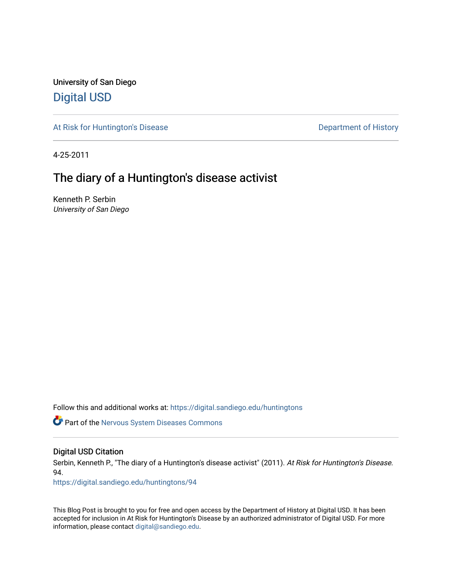University of San Diego [Digital USD](https://digital.sandiego.edu/)

[At Risk for Huntington's Disease](https://digital.sandiego.edu/huntingtons) **Department of History** Department of History

4-25-2011

# The diary of a Huntington's disease activist

Kenneth P. Serbin University of San Diego

Follow this and additional works at: [https://digital.sandiego.edu/huntingtons](https://digital.sandiego.edu/huntingtons?utm_source=digital.sandiego.edu%2Fhuntingtons%2F94&utm_medium=PDF&utm_campaign=PDFCoverPages)

**Part of the [Nervous System Diseases Commons](http://network.bepress.com/hgg/discipline/928?utm_source=digital.sandiego.edu%2Fhuntingtons%2F94&utm_medium=PDF&utm_campaign=PDFCoverPages)** 

# Digital USD Citation

Serbin, Kenneth P., "The diary of a Huntington's disease activist" (2011). At Risk for Huntington's Disease. 94.

[https://digital.sandiego.edu/huntingtons/94](https://digital.sandiego.edu/huntingtons/94?utm_source=digital.sandiego.edu%2Fhuntingtons%2F94&utm_medium=PDF&utm_campaign=PDFCoverPages)

This Blog Post is brought to you for free and open access by the Department of History at Digital USD. It has been accepted for inclusion in At Risk for Huntington's Disease by an authorized administrator of Digital USD. For more information, please contact [digital@sandiego.edu.](mailto:digital@sandiego.edu)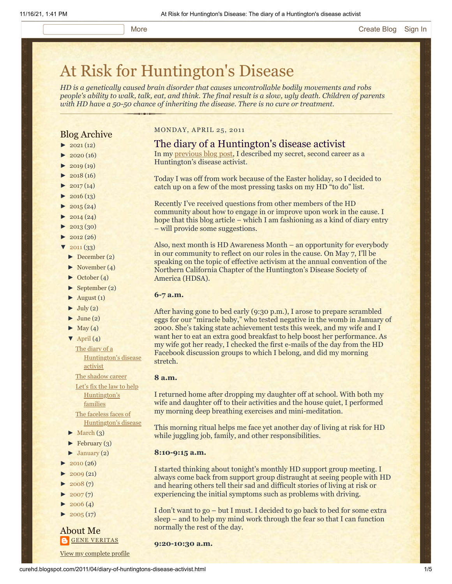# [At Risk for Huntington's Disease](http://curehd.blogspot.com/)

*HD is a genetically caused brain disorder that causes uncontrollable bodily movements and robs people's ability to walk, talk, eat, and think. The final result is a slow, ugly death. Children of parents with HD have a 50-50 chance of inheriting the disease. There is no cure or treatment.*

# Blog Archive

- $\blacktriangleright$  [2021](http://curehd.blogspot.com/2021/)(12)
- $\blacktriangleright$  [2020](http://curehd.blogspot.com/2020/) (16)
- $\blacktriangleright$  [2019](http://curehd.blogspot.com/2019/) (19)
- $\blacktriangleright$  [2018](http://curehd.blogspot.com/2018/) (16)
- $2017(14)$  $2017(14)$
- $2016(13)$  $2016(13)$  $\blacktriangleright$  [2015](http://curehd.blogspot.com/2015/) (24)
- 
- $\blacktriangleright$  [2014](http://curehd.blogspot.com/2014/) (24)
- $\blacktriangleright$  [2013](http://curehd.blogspot.com/2013/) (30)
- $\blacktriangleright$  [2012](http://curehd.blogspot.com/2012/) (26)
- $'$  [2011](http://curehd.blogspot.com/2011/)  $(33)$
- [►](javascript:void(0)) [December](http://curehd.blogspot.com/2011/12/) (2)
- [►](javascript:void(0)) [November](http://curehd.blogspot.com/2011/11/) (4)
- [►](javascript:void(0)) [October](http://curehd.blogspot.com/2011/10/) (4)
- $\blacktriangleright$  [September](http://curehd.blogspot.com/2011/09/) (2)
- $\blacktriangleright$  [August](http://curehd.blogspot.com/2011/08/) (1)
- $\blacktriangleright$  [July](http://curehd.blogspot.com/2011/07/) (2)
- $\blacktriangleright$  [June](http://curehd.blogspot.com/2011/06/) (2)
- $\blacktriangleright$  [May](http://curehd.blogspot.com/2011/05/) (4)
- $\nabla$  [April](http://curehd.blogspot.com/2011/04/) (4) The diary of a
	- activist The [shadow](http://curehd.blogspot.com/2011/04/shadow-career.html) career Let's fix the law to help [Huntington's](http://curehd.blogspot.com/2011/04/lets-fix-law-to-help-huntingtons.html) families The faceless faces of

[Huntington's](http://curehd.blogspot.com/2011/04/diary-of-huntingtons-disease-activist.html) disease

- [Huntington's](http://curehd.blogspot.com/2011/04/faceless-faces-of-huntingtons-disease.html) disease
- $\blacktriangleright$  [March](http://curehd.blogspot.com/2011/03/) (3)
- $\blacktriangleright$  [February](http://curehd.blogspot.com/2011/02/) (3)
- $\blacktriangleright$  [January](http://curehd.blogspot.com/2011/01/) (2)
- $2010(26)$  $2010(26)$
- $2009(21)$  $2009(21)$
- $2008(7)$  $2008(7)$
- $\blacktriangleright$  [2007](http://curehd.blogspot.com/2007/) $(7)$
- $\blacktriangleright$  [2006](http://curehd.blogspot.com/2006/) (4)
- $\blacktriangleright$  [2005](http://curehd.blogspot.com/2005/) (17)

# About Me **GENE [VERITAS](https://www.blogger.com/profile/10911736205741688185)**

View my [complete](https://www.blogger.com/profile/10911736205741688185) profile

# MONDAY, APRIL 25, 2011

# The diary of a Huntington's disease activist

In my [previous blog post,](http://curehd.blogspot.com/2011/04/shadow-career.html) I described my secret, second career as a Huntington's disease activist.

Today I was off from work because of the Easter holiday, so I decided to catch up on a few of the most pressing tasks on my HD "to do" list.

Recently I've received questions from other members of the HD community about how to engage in or improve upon work in the cause. I hope that this blog article – which I am fashioning as a kind of diary entry – will provide some suggestions.

Also, next month is HD Awareness Month – an opportunity for everybody in our community to reflect on our roles in the cause. On May 7, I'll be speaking on the topic of effective activism at the annual convention of the Northern California Chapter of the Huntington's Disease Society of America (HDSA).

## **6-7 a.m.**

After having gone to bed early (9:30 p.m.), I arose to prepare scrambled eggs for our "miracle baby," who tested negative in the womb in January of 2000. She's taking state achievement tests this week, and my wife and I want her to eat an extra good breakfast to help boost her performance. As my wife got her ready, I checked the first e-mails of the day from the HD Facebook discussion groups to which I belong, and did my morning stretch.

# **8 a.m.**

I returned home after dropping my daughter off at school. With both my wife and daughter off to their activities and the house quiet, I performed my morning deep breathing exercises and mini-meditation.

This morning ritual helps me face yet another day of living at risk for HD while juggling job, family, and other responsibilities.

#### **8:10-9:15 a.m.**

I started thinking about tonight's monthly HD support group meeting. I always come back from support group distraught at seeing people with HD and hearing others tell their sad and difficult stories of living at risk or experiencing the initial symptoms such as problems with driving.

I don't want to go – but I must. I decided to go back to bed for some extra sleep – and to help my mind work through the fear so that I can function normally the rest of the day.

**9:20-10:30 a.m.**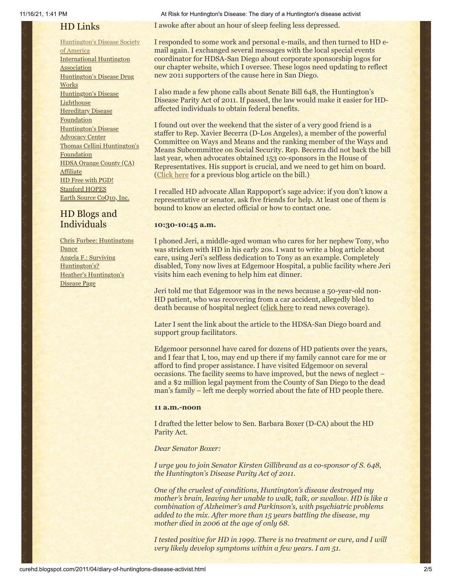# HD Links

[Huntington's](http://www.hdsa.org/) Disease Society of America [International](http://www.huntington-assoc.com/) Huntington **Association** [Huntington's](http://hddrugworks.org/) Disease Drug **Works** [Huntington's](http://www.hdlighthouse.org/) Disease **Lighthouse Hereditary Disease [Foundation](http://www.hdfoundation.org/)** [Huntington's](http://www.hdac.org/) Disease Advocacy Center Thomas [Cellini Huntington's](http://www.ourtchfoundation.org/) **Foundation** HDSA Orange County (CA) **[Affiliate](http://www.hdsaoc.org/)** HD Free with [PGD!](http://www.hdfreewithpgd.com/) [Stanford](http://www.stanford.edu/group/hopes/) HOPES Earth Source [CoQ10,](http://www.escoq10.com/) Inc.

# HD Blogs and Individuals

Chris Furbee: [Huntingtons](http://www.huntingtonsdance.org/) Dance Angela F.: Surviving [Huntington's?](http://survivinghuntingtons.blogspot.com/) Heather's [Huntington's](http://heatherdugdale.angelfire.com/) Disease Page

11/16/21, 1:41 PM At Risk for Huntington's Disease: The diary of a Huntington's disease activist

I awoke after about an hour of sleep feeling less depressed.

I responded to some work and personal e-mails, and then turned to HD email again. I exchanged several messages with the local special events coordinator for HDSA-San Diego about corporate sponsorship logos for our chapter website, which I oversee. These logos need updating to reflect new 2011 supporters of the cause here in San Diego.

I also made a few phone calls about Senate Bill 648, the Huntington's Disease Parity Act of 2011. If passed, the law would make it easier for HDaffected individuals to obtain federal benefits.

I found out over the weekend that the sister of a very good friend is a staffer to Rep. Xavier Becerra (D-Los Angeles), a member of the powerful Committee on Ways and Means and the ranking member of the Ways and Means Subcommittee on Social Security. Rep. Becerra did not back the bill last year, when advocates obtained 153 co-sponsors in the House of Representatives. His support is crucial, and we need to get him on board. ([Click here](http://curehd.blogspot.com/2011/04/lets-fix-law-to-help-huntingtons.html) for a previous blog article on the bill.)

I recalled HD advocate Allan Rappoport's sage advice: if you don't know a representative or senator, ask five friends for help. At least one of them is bound to know an elected official or how to contact one.

# **10:30-10:45 a.m.**

I phoned Jeri, a middle-aged woman who cares for her nephew Tony, who was stricken with HD in his early 20s. I want to write a blog article about care, using Jeri's selfless dedication to Tony as an example. Completely disabled, Tony now lives at Edgemoor Hospital, a public facility where Jeri visits him each evening to help him eat dinner.

Jeri told me that Edgemoor was in the news because a 50-year-old non-HD patient, who was recovering from a car accident, allegedly bled to death because of hospital neglect ([click here](http://www.nctimes.com/news/local/sdcounty/article_b8471453-1d6f-5bdb-9c28-730c1caf7db5.html) to read news coverage).

Later I sent the link about the article to the HDSA-San Diego board and support group facilitators.

Edgemoor personnel have cared for dozens of HD patients over the years, and I fear that I, too, may end up there if my family cannot care for me or afford to find proper assistance. I have visited Edgemoor on several occasions. The facility seems to have improved, but the news of neglect – and a \$2 million legal payment from the County of San Diego to the dead man's family – left me deeply worried about the fate of HD people there.

# **11 a.m.-noon**

I drafted the letter below to Sen. Barbara Boxer (D-CA) about the HD Parity Act.

*Dear Senator Boxer:*

*I urge you to join Senator Kirsten Gillibrand as a co-sponsor of S. 648, the Huntington's Disease Parity Act of 2011.*

*One of the cruelest of conditions, Huntington's disease destroyed my mother's brain, leaving her unable to walk, talk, or swallow. HD is like a combination of Alzheimer's and Parkinson's, with psychiatric problems added to the mix. After more than 15 years battling the disease, my mother died in 2006 at the age of only 68.*

*I tested positive for HD in 1999. There is no treatment or cure, and I will very likely develop symptoms within a few years. I am 51.*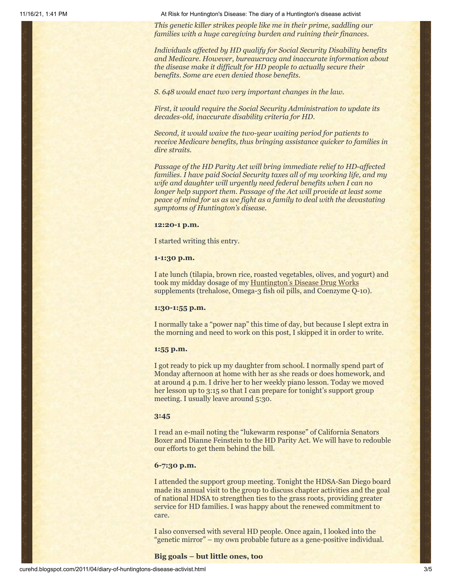11/16/21, 1:41 PM At Risk for Huntington's Disease: The diary of a Huntington's disease activist

*This genetic killer strikes people like me in their prime, saddling our families with a huge caregiving burden and ruining their finances.*

*Individuals affected by HD qualify for Social Security Disability benefits and Medicare. However, bureaucracy and inaccurate information about the disease make it difficult for HD people to actually secure their benefits. Some are even denied those benefits.*

*S. 648 would enact two very important changes in the law.*

*First, it would require the Social Security Administration to update its decades-old, inaccurate disability criteria for HD.*

*Second, it would waive the two-year waiting period for patients to receive Medicare benefits, thus bringing assistance quicker to families in dire straits.*

*Passage of the HD Parity Act will bring immediate relief to HD-affected families. I have paid Social Security taxes all of my working life, and my wife and daughter will urgently need federal benefits when I can no longer help support them. Passage of the Act will provide at least some peace of mind for us as we fight as a family to deal with the devastating symptoms of Huntington's disease.*

#### **12:20-1 p.m.**

I started writing this entry.

## **1-1:30 p.m.**

I ate lunch (tilapia, brown rice, roasted vegetables, olives, and yogurt) and took my midday dosage of my [Huntington's Disease Drug Works](http://www.hddrugworks.org/) supplements (trehalose, Omega-3 fish oil pills, and Coenzyme Q-10).

### **1:30-1:55 p.m.**

I normally take a "power nap" this time of day, but because I slept extra in the morning and need to work on this post, I skipped it in order to write.

#### **1:55 p.m.**

I got ready to pick up my daughter from school. I normally spend part of Monday afternoon at home with her as she reads or does homework, and at around 4 p.m. I drive her to her weekly piano lesson. Today we moved her lesson up to 3:15 so that I can prepare for tonight's support group meeting. I usually leave around 5:30.

# **3:45**

I read an e-mail noting the "lukewarm response" of California Senators Boxer and Dianne Feinstein to the HD Parity Act. We will have to redouble our efforts to get them behind the bill.

# **6-7:30 p.m.**

I attended the support group meeting. Tonight the HDSA-San Diego board made its annual visit to the group to discuss chapter activities and the goal of national HDSA to strengthen ties to the grass roots, providing greater service for HD families. I was happy about the renewed commitment to care.

I also conversed with several HD people. Once again, I looked into the "genetic mirror" – my own probable future as a gene-positive individual.

## **Big goals – but little ones, too**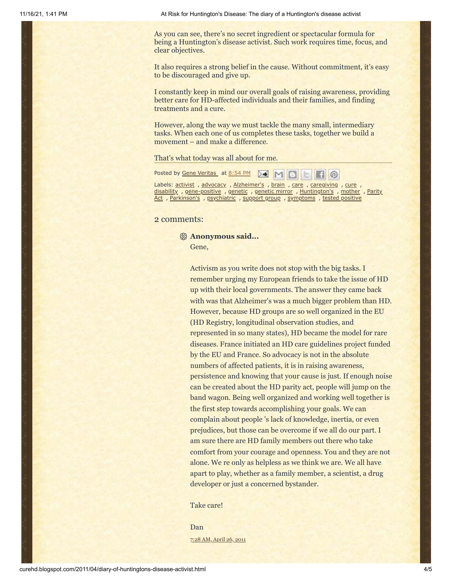As you can see, there's no secret ingredient or spectacular formula for being a Huntington's disease activist. Such work requires time, focus, and clear objectives.

It also requires a strong belief in the cause. Without commitment, it's easy to be discouraged and give up.

I constantly keep in mind our overall goals of raising awareness, providing better care for HD-affected individuals and their families, and finding treatments and a cure.

However, along the way we must tackle the many small, intermediary tasks. When each one of us completes these tasks, together we build a movement – and make a difference.

That's what today was all about for me.

Posted by Gene [Veritas](https://www.blogger.com/profile/03599828959793084715) at [8:54](http://curehd.blogspot.com/2011/04/diary-of-huntingtons-disease-activist.html) PM

Labels: [activist](http://curehd.blogspot.com/search/label/activist), [advocacy](http://curehd.blogspot.com/search/label/advocacy), [Alzheimer's](http://curehd.blogspot.com/search/label/Alzheimer%27s), [brain](http://curehd.blogspot.com/search/label/brain), [care](http://curehd.blogspot.com/search/label/care), [caregiving](http://curehd.blogspot.com/search/label/caregiving), [cure](http://curehd.blogspot.com/search/label/cure), [disability](http://curehd.blogspot.com/search/label/disability) , [g](http://curehd.blogspot.com/search/label/Parity%20Act)[ene-positive](http://curehd.blogspot.com/search/label/gene-positive) , [genetic](http://curehd.blogspot.com/search/label/genetic%20mirror) , genetic mirror , [Huntington's](http://curehd.blogspot.com/search/label/Huntington%27s) , [mother](http://curehd.blogspot.com/search/label/mother) , Parity Act , [Parkinson's](http://curehd.blogspot.com/search/label/Parkinson%27s) , [psychiatric](http://curehd.blogspot.com/search/label/psychiatric) , [support](http://curehd.blogspot.com/search/label/support%20group) group , [symptoms](http://curehd.blogspot.com/search/label/symptoms) , tested [positive](http://curehd.blogspot.com/search/label/tested%20positive)

# 2 comments:

**Anonymous said...**

Activism as you write does not stop with the big tasks. I remember urging my European friends to take the issue of HD up with their local governments. The answer they came back with was that Alzheimer's was a much bigger problem than HD. However, because HD groups are so well organized in the EU (HD Registry, longitudinal observation studies, and represented in so many states), HD became the model for rare diseases. France initiated an HD care guidelines project funded by the EU and France. So advocacy is not in the absolute numbers of affected patients, it is in raising awareness, persistence and knowing that your cause is just. If enough noise can be created about the HD parity act, people will jump on the band wagon. Being well organized and working well together is the first step towards accomplishing your goals. We can complain about people 's lack of knowledge, inertia, or even prejudices, but those can be overcome if we all do our part. I am sure there are HD family members out there who take comfort from your courage and openness. You and they are not alone. We re only as helpless as we think we are. We all have apart to play, whether as a family member, a scientist, a drug developer or just a concerned bystander.

Take care!

Dan 7:28 AM, [April](http://curehd.blogspot.com/2011/04/diary-of-huntingtons-disease-activist.html?showComment=1303828126041#c9008101114717775497) 26, 2011

Gene,